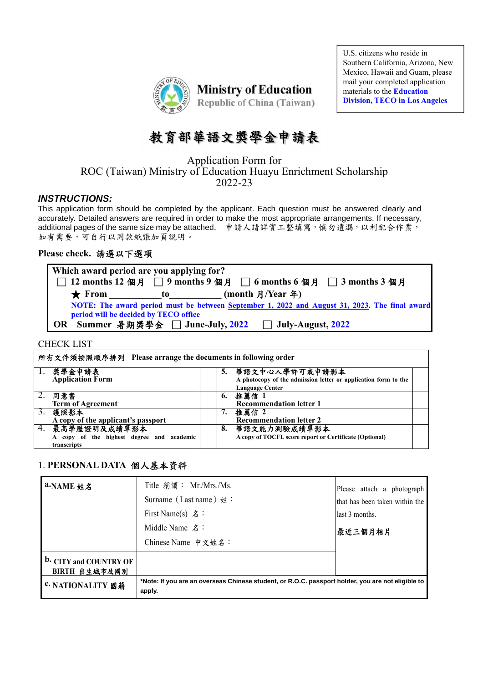

U.S. citizens who reside in Southern California, Arizona, New Mexico, Hawaii and Guam, please mail your completed application materials to the **Education Division, TECO in Los Angeles**

# 教育部華語文獎學金申請表

Application Form for ROC (Taiwan) Ministry of Education Huayu Enrichment Scholarship 2022-23

### *INSTRUCTIONS:*

This application form should be completed by the applicant. Each question must be answered clearly and accurately. Detailed answers are required in order to make the most appropriate arrangements. If necessary, additional pages of the same size may be attached.申請人請詳實工整填寫,慎勿遺漏,以利配合作業, 如有需要,可自行以同款紙張加頁說明。

### **Please check.** 請選以下選項

**Which award period are you applying for?**  □ **12 months 12** 個月□ **9 months 9** 個月□ **6 months 6** 個月□ **3 months 3** 個月 ★ From to (month 月/Year 年) **NOTE: The award period must be between September 1, 2022 and August 31, 2023. The final award period will be decided by TECO office OR Summer** 暑期獎學金□ **June-July, 2022** □ **July-August, 2022**

#### CHECK LIST

|    | 所有文件須按照順序排列 Please arrange the documents in following order                 |    |                                                                                                            |  |  |
|----|-----------------------------------------------------------------------------|----|------------------------------------------------------------------------------------------------------------|--|--|
|    | 1. 獎學金申請表<br><b>Application Form</b>                                        | 5. | 華語文中心入學許可或申請影本<br>A photocopy of the admission letter or application form to the<br><b>Language Center</b> |  |  |
|    | 同意書<br><b>Term of Agreement</b>                                             | 6. | 推薦信 1<br><b>Recommendation letter 1</b>                                                                    |  |  |
| 3. | 護照影本<br>A copy of the applicant's passport                                  | 7. | 推薦信 2<br><b>Recommendation letter 2</b>                                                                    |  |  |
|    | 4. 最高學歷證明及成績單影本<br>A copy of the highest degree and academic<br>transcripts | 8. | 華語文能力測驗成績單影本<br>A copy of TOCFL score report or Certificate (Optional)                                     |  |  |

### 1. **PERSONAL DATA** 個人基本資料

| a.NAME 姓名                                      | Title 稱謂: Mr./Mrs./Ms.<br>Surname (Last name) 姓:<br>First Name(s) $\hat{z}$ : | Please attach a photograph<br>that has been taken within the<br>last 3 months.                    |  |  |
|------------------------------------------------|-------------------------------------------------------------------------------|---------------------------------------------------------------------------------------------------|--|--|
|                                                | Middle Name 名:<br>Chinese Name 中文姓名:                                          | 最近三個月相片                                                                                           |  |  |
| <b>b.</b> CITY and COUNTRY OF<br>BIRTH 出生城市及國別 |                                                                               |                                                                                                   |  |  |
| <b>c. NATIONALITY 國籍</b>                       | apply.                                                                        | *Note: If you are an overseas Chinese student, or R.O.C. passport holder, you are not eligible to |  |  |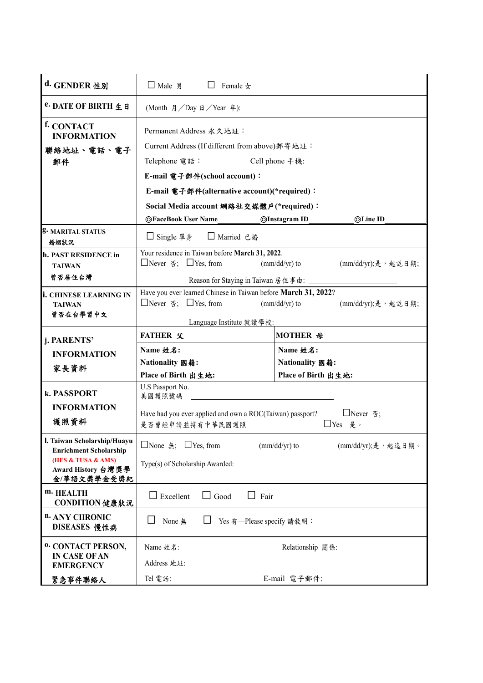| d. GENDER 性別                                                                                                            | $\Box$ Male $\mathfrak{K}$<br>$\Box$ Female $\pm$                                                                                                  |                |                                        |                     |  |  |
|-------------------------------------------------------------------------------------------------------------------------|----------------------------------------------------------------------------------------------------------------------------------------------------|----------------|----------------------------------------|---------------------|--|--|
| e. DATE OF BIRTH 生日                                                                                                     | (Month 月/Day 日/Year 年):                                                                                                                            |                |                                        |                     |  |  |
| f. CONTACT<br><b>INFORMATION</b><br>聯絡地址、電話、電子                                                                          | Permanent Address 永久地址:<br>Current Address (If different from above) 郵寄地址:                                                                         |                |                                        |                     |  |  |
| 郵件                                                                                                                      | Telephone 電話:                                                                                                                                      | Cell phone 手機: |                                        |                     |  |  |
|                                                                                                                         | E-mail 電子郵件(school account):                                                                                                                       |                |                                        |                     |  |  |
|                                                                                                                         | E-mail 電子郵件(alternative account)(*required):                                                                                                       |                |                                        |                     |  |  |
|                                                                                                                         | Social Media account 網路社交媒體戶(*required):                                                                                                           |                |                                        |                     |  |  |
|                                                                                                                         | <b>OFaceBook User Name</b>                                                                                                                         |                | <b>OInstagram ID</b>                   | ©Line ID            |  |  |
| g. MARITAL STATUS<br>婚姻狀況                                                                                               | □ Single 單身<br>□ Married 已婚                                                                                                                        |                |                                        |                     |  |  |
| h. PAST RESIDENCE in<br><b>TAIWAN</b>                                                                                   | Your residence in Taiwan before March 31, 2022.<br>$\Box$ Never $\overline{\Phi}$ ; $\Box$ Yes, from<br>$\frac{m}{d}$ (mm/dd/yr) to                |                |                                        | (mm/dd/yr);是, 起訖日期; |  |  |
| 曾否居住台灣                                                                                                                  | Reason for Staying in Taiwan 居住事由:                                                                                                                 |                |                                        |                     |  |  |
| <b>i. CHINESE LEARNING IN</b><br><b>TAIWAN</b><br>曾否在台學習中文                                                              | Have you ever learned Chinese in Taiwan before March 31, 2022?<br>$\Box$ Never $\overline{\Phi}$ ; $\Box$ Yes, from<br>$\frac{m}{d}$ (mm/dd/yr) to |                |                                        | (mm/dd/yr);是, 起訖日期; |  |  |
|                                                                                                                         | Language Institute 就讀學校:                                                                                                                           |                |                                        |                     |  |  |
| j. PARENTS'                                                                                                             | <b>FATHER 父</b>                                                                                                                                    |                | MOTHER 母                               |                     |  |  |
| <b>INFORMATION</b>                                                                                                      | Name 姓名:                                                                                                                                           |                | Name 姓名:                               |                     |  |  |
| 家長資料                                                                                                                    | Nationality 國籍:<br>Place of Birth 出生地:                                                                                                             |                | Nationality 國籍:<br>Place of Birth 出生地: |                     |  |  |
| k. PASSPORT                                                                                                             | U.S Passport No.<br>美國護照號碼                                                                                                                         |                |                                        |                     |  |  |
| <b>INFORMATION</b><br>護照資料                                                                                              | Have had you ever applied and own a ROC(Taiwan) passport?<br>□Never $\Phi$ ;<br>是否曾經申請並持有中華民國護照<br>□Yes 是。                                         |                |                                        |                     |  |  |
| l. Taiwan Scholarship/Huayu<br><b>Enrichment Scholarship</b><br>(HES & TUSA & AMS)<br>Award History 台灣獎學<br>金/華語文獎學金受獎紀 | □None 無; □Yes, from<br>Type(s) of Scholarship Awarded:                                                                                             |                | $(mm/dd/yr)$ to                        | (mm/dd/yr);是, 起迄日期。 |  |  |
| m. HEALTH<br>CONDITION 健康狀況                                                                                             | $\Box$ Good<br>$\Box$ Excellent<br>$\Box$ Fair                                                                                                     |                |                                        |                     |  |  |
| n. ANY CHRONIC<br>DISEASES 慢性病                                                                                          | None 無<br>Yes 有--Please specify 請敘明:                                                                                                               |                |                                        |                     |  |  |
| <sup>0.</sup> CONTACT PERSON,                                                                                           | Name 姓名:                                                                                                                                           |                | Relationship 關係:                       |                     |  |  |
| <b>IN CASE OF AN</b><br><b>EMERGENCY</b>                                                                                | Address 地址:                                                                                                                                        |                |                                        |                     |  |  |
| 緊急事件聯絡人                                                                                                                 | Tel 電話:                                                                                                                                            |                | E-mail 電子郵件:                           |                     |  |  |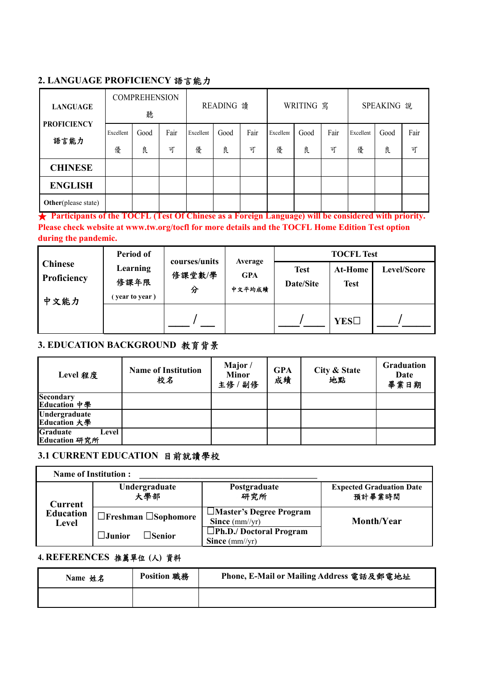### **2. LANGUAGE PROFICIENCY** 語言能力

| <b>LANGUAGE</b>             | <b>COMPREHENSION</b><br>聽 |           |           | READING 讀      |           | WRITING 寫 |                | SPEAKING 說 |           |                |           |           |
|-----------------------------|---------------------------|-----------|-----------|----------------|-----------|-----------|----------------|------------|-----------|----------------|-----------|-----------|
| <b>PROFICIENCY</b><br>語言能力  | Excellent<br>優            | Good<br>良 | Fair<br>可 | Excellent<br>優 | Good<br>良 | Fair<br>可 | Excellent<br>優 | Good<br>良  | Fair<br>可 | Excellent<br>優 | Good<br>良 | Fair<br>可 |
| <b>CHINESE</b>              |                           |           |           |                |           |           |                |            |           |                |           |           |
| <b>ENGLISH</b>              |                           |           |           |                |           |           |                |            |           |                |           |           |
| <b>Other</b> (please state) |                           |           |           |                |           |           |                |            |           |                |           |           |

★ **Participants of the TOCFL (Test Of Chinese as a Foreign Language) will be considered with priority. Please check website at www.tw.org/tocfl for more details and the TOCFL Home Edition Test option during the pandemic.**

|                                       | Period of                          | courses/units |                                 |                          | <b>TOCFL Test</b>             |             |
|---------------------------------------|------------------------------------|---------------|---------------------------------|--------------------------|-------------------------------|-------------|
| <b>Chinese</b><br>Proficiency<br>中文能力 | Learning<br>修課年限<br>(year to year) | 修課堂數/學<br>分   | Average<br><b>GPA</b><br>中文平均成绩 | <b>Test</b><br>Date/Site | <b>At-Home</b><br><b>Test</b> | Level/Score |
|                                       |                                    |               |                                 |                          | <b>YES</b> □                  |             |

# **3. EDUCATION BACKGROUND** 教育背景

| Level 程度                           | <b>Name of Institution</b><br>校名 | Major/<br><b>Minor</b><br>主修 / 副修 | <b>GPA</b><br>成績 | City & State<br>地點 | <b>Graduation</b><br>Date<br>畢業日期 |
|------------------------------------|----------------------------------|-----------------------------------|------------------|--------------------|-----------------------------------|
| <b>Secondary</b><br>Education 中學   |                                  |                                   |                  |                    |                                   |
| Undergraduate<br>Education 大學      |                                  |                                   |                  |                    |                                   |
| Graduate<br>Level<br>Education 研究所 |                                  |                                   |                  |                    |                                   |

## **3.1 CURRENT EDUCATION** 目前就讀學校

| <b>Name of Institution:</b> |                                     |                                                          |                                           |  |  |
|-----------------------------|-------------------------------------|----------------------------------------------------------|-------------------------------------------|--|--|
| Current                     | Undergraduate<br>大學部                | Postgraduate<br>研究所                                      | <b>Expected Graduation Date</b><br>預計畢業時間 |  |  |
| <b>Education</b><br>Level   | $\Box$ Freshman $\Box$ Sophomore    | $\Box$ Master's Degree Program<br>Since $\text{(mm/yr)}$ | Month/Year                                |  |  |
|                             | $\Box$ Senior<br>$\lrcorner$ Junior | $\Box$ Ph.D./ Doctoral Program<br>Since $\text{(mm/yr)}$ |                                           |  |  |

### **4. REFERENCES** 推薦單位 **(**人**)** 資料

| Name 姓名 | <b>Position 職務</b> | Phone, E-Mail or Mailing Address 電話及郵電地址 |
|---------|--------------------|------------------------------------------|
|         |                    |                                          |